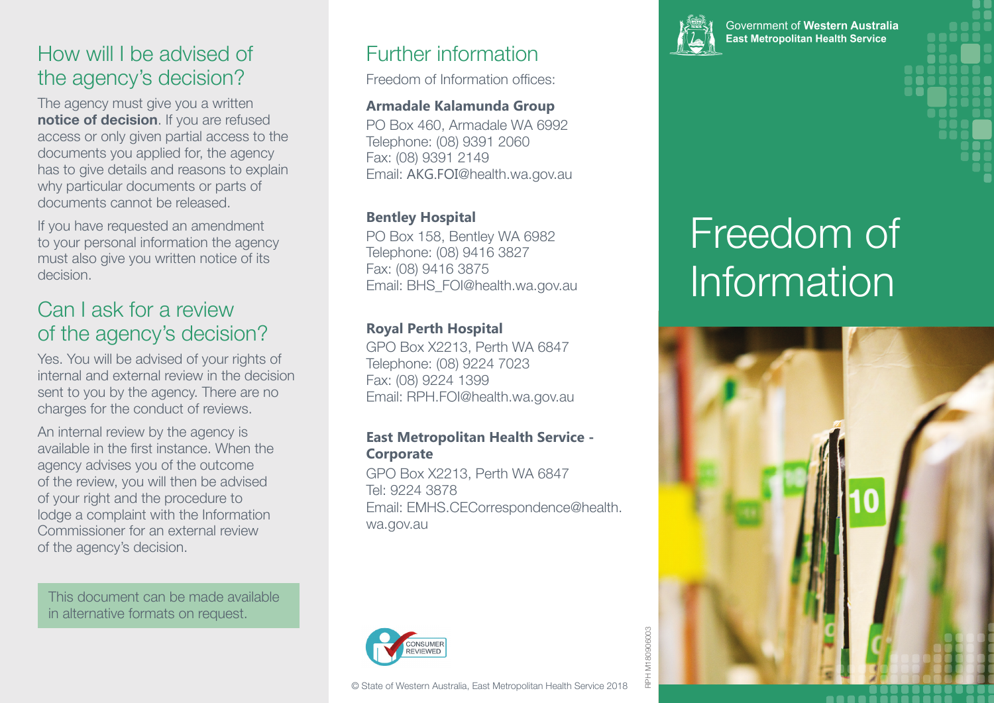## How will I be advised of the agency's decision?

The agency must give you a written **notice of decision**. If you are refused access or only given partial access to the documents you applied for, the agency has to give details and reasons to explain why particular documents or parts of documents cannot be released.

If you have requested an amendment to your personal information the agency must also give you written notice of its decision.

### Can I ask for a review of the agency's decision?

Yes. You will be advised of your rights of internal and external review in the decision sent to you by the agency. There are no charges for the conduct of reviews.

An internal review by the agency is available in the first instance. When the agency advises you of the outcome of the review, you will then be advised of your right and the procedure to lodge a complaint with the Information Commissioner for an external review of the agency's decision.

This document can be made available in alternative formats on request.

## Further information

Freedom of Information offices:

#### **Armadale Kalamunda Group**

PO Box 460, Armadale WA 6992 Telephone: (08) 9391 2060 Fax: (08) 9391 2149 Email: AKG.FOI@health.wa.gov.au

#### **Bentley Hospital**

PO Box 158, Bentley WA 6982 Telephone: (08) 9416 3827 Fax: (08) 9416 3875 Email: BHS\_FOI@health.wa.gov.au

#### **Royal Perth Hospital**

GPO Box X2213, Perth WA 6847 Telephone: (08) 9224 7023 Fax: (08) 9224 1399 Email: RPH.FOI@health.wa.gov.au

#### **East Metropolitan Health Service - Corporate**

GPO Box X2213, Perth WA 6847 Tel: 9224 3878 Email: EMHS.CECorrespondence@health. wa.gov.au





Government of Western Australia **East Metropolitan Health Service** 

# Freedom of Information